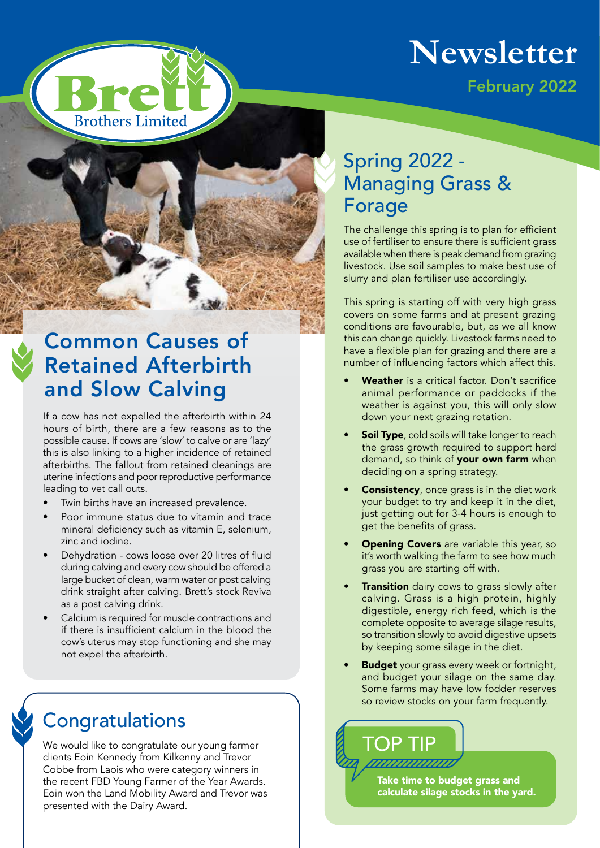

February 2022

# **Brothers Limited**

## Common Causes of Retained Afterbirth and Slow Calving

If a cow has not expelled the afterbirth within 24 hours of birth, there are a few reasons as to the possible cause. If cows are 'slow' to calve or are 'lazy' this is also linking to a higher incidence of retained afterbirths. The fallout from retained cleanings are uterine infections and poor reproductive performance leading to vet call outs.

- Twin births have an increased prevalence.
- Poor immune status due to vitamin and trace mineral deficiency such as vitamin E, selenium, zinc and iodine.
- Dehydration cows loose over 20 litres of fluid during calving and every cow should be offered a large bucket of clean, warm water or post calving drink straight after calving. Brett's stock Reviva as a post calving drink.
- Calcium is required for muscle contractions and if there is insufficient calcium in the blood the cow's uterus may stop functioning and she may not expel the afterbirth.

#### **Congratulations**

We would like to congratulate our young farmer clients Eoin Kennedy from Kilkenny and Trevor Cobbe from Laois who were category winners in the recent FBD Young Farmer of the Year Awards. Eoin won the Land Mobility Award and Trevor was presented with the Dairy Award.

#### Spring 2022 - Managing Grass & Forage

The challenge this spring is to plan for efficient use of fertiliser to ensure there is sufficient grass available when there is peak demand from grazing livestock. Use soil samples to make best use of slurry and plan fertiliser use accordingly.

This spring is starting off with very high grass covers on some farms and at present grazing conditions are favourable, but, as we all know this can change quickly. Livestock farms need to have a flexible plan for grazing and there are a number of influencing factors which affect this.

- Weather is a critical factor. Don't sacrifice animal performance or paddocks if the weather is against you, this will only slow down your next grazing rotation.
- **Soil Type**, cold soils will take longer to reach the grass growth required to support herd demand, so think of your own farm when deciding on a spring strategy.
- Consistency, once grass is in the diet work your budget to try and keep it in the diet, just getting out for 3-4 hours is enough to get the benefits of grass.
- Opening Covers are variable this year, so it's worth walking the farm to see how much grass you are starting off with.
- Transition dairy cows to grass slowly after calving. Grass is a high protein, highly digestible, energy rich feed, which is the complete opposite to average silage results, so transition slowly to avoid digestive upsets by keeping some silage in the diet.
- **Budget** your grass every week or fortnight, and budget your silage on the same day. Some farms may have low fodder reserves so review stocks on your farm frequently.



Take time to budget grass and calculate silage stocks in the yard.